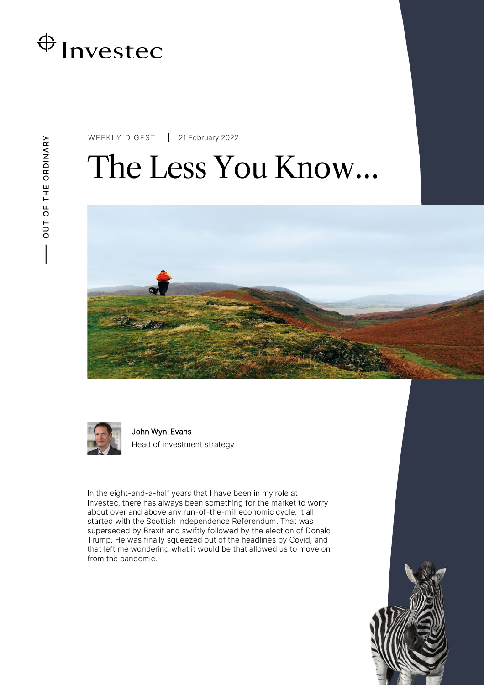

WEEKLY DIGEST 21 February 2022

# The Less You Know…





John Wyn-Evans Head of investment strategy

In the eight-and-a-half years that I have been in my role at Investec, there has always been something for the market to worry about over and above any run-of-the-mill economic cycle. It all started with the Scottish Independence Referendum. That was superseded by Brexit and swiftly followed by the election of Donald Trump. He was finally squeezed out of the headlines by Covid, and that left me wondering what it would be that allowed us to move on from the pandemic.

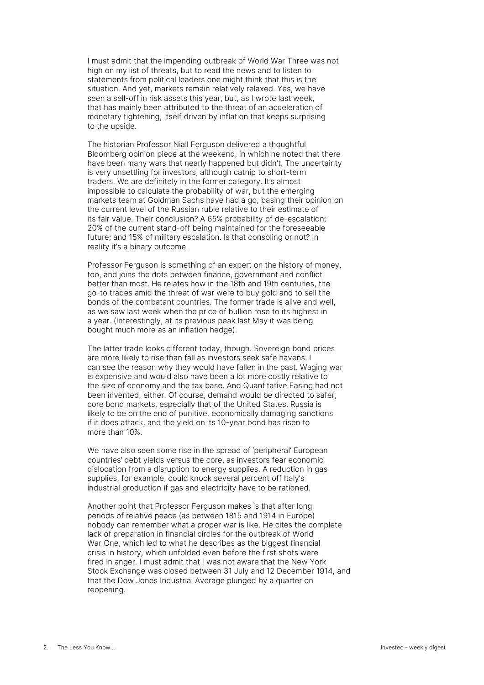I must admit that the impending outbreak of World War Three was not high on my list of threats, but to read the news and to listen to statements from political leaders one might think that this is the situation. And yet, markets remain relatively relaxed. Yes, we have seen a sell-off in risk assets this year, but, as I wrote last week, that has mainly been attributed to the threat of an acceleration of monetary tightening, itself driven by inflation that keeps surprising to the upside.

The historian Professor Niall Ferguson delivered a thoughtful Bloomberg opinion piece at the weekend, in which he noted that there have been many wars that nearly happened but didn't. The uncertainty is very unsettling for investors, although catnip to short-term traders. We are definitely in the former category. It's almost impossible to calculate the probability of war, but the emerging markets team at Goldman Sachs have had a go, basing their opinion on the current level of the Russian ruble relative to their estimate of its fair value. Their conclusion? A 65% probability of de-escalation; 20% of the current stand-off being maintained for the foreseeable future; and 15% of military escalation. Is that consoling or not? In reality it's a binary outcome.

Professor Ferguson is something of an expert on the history of money. too, and joins the dots between finance, government and conflict better than most. He relates how in the 18th and 19th centuries, the go-to trades amid the threat of war were to buy gold and to sell the bonds of the combatant countries. The former trade is alive and well, as we saw last week when the price of bullion rose to its highest in a year. (Interestingly, at its previous peak last May it was being bought much more as an inflation hedge).

The latter trade looks different today, though. Sovereign bond prices are more likely to rise than fall as investors seek safe havens. I can see the reason why they would have fallen in the past. Waging war is expensive and would also have been a lot more costly relative to the size of economy and the tax base. And Quantitative Easing had not been invented, either. Of course, demand would be directed to safer, core bond markets, especially that of the United States. Russia is likely to be on the end of punitive, economically damaging sanctions if it does attack, and the yield on its 10-year bond has risen to more than 10%.

We have also seen some rise in the spread of 'peripheral' European countries' debt yields versus the core, as investors fear economic dislocation from a disruption to energy supplies. A reduction in gas supplies, for example, could knock several percent off Italy's industrial production if gas and electricity have to be rationed.

Another point that Professor Ferguson makes is that after long periods of relative peace (as between 1815 and 1914 in Europe) nobody can remember what a proper war is like. He cites the complete lack of preparation in financial circles for the outbreak of World War One, which led to what he describes as the biggest financial crisis in history, which unfolded even before the first shots were fired in anger. I must admit that I was not aware that the New York Stock Exchange was closed between 31 July and 12 December 1914, and that the Dow Jones Industrial Average plunged by a quarter on reopening.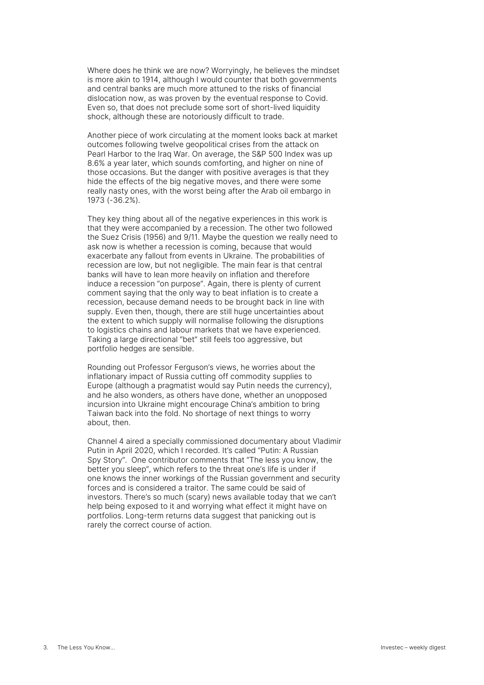Where does he think we are now? Worryingly, he believes the mindset is more akin to 1914, although I would counter that both governments and central banks are much more attuned to the risks of financial dislocation now, as was proven by the eventual response to Covid. Even so, that does not preclude some sort of short-lived liquidity shock, although these are notoriously difficult to trade.

Another piece of work circulating at the moment looks back at market outcomes following twelve geopolitical crises from the attack on Pearl Harbor to the Iraq War. On average, the S&P 500 Index was up 8.6% a year later, which sounds comforting, and higher on nine of those occasions. But the danger with positive averages is that they hide the effects of the big negative moves, and there were some really nasty ones, with the worst being after the Arab oil embargo in 1973 (-36.2%).

They key thing about all of the negative experiences in this work is that they were accompanied by a recession. The other two followed the Suez Crisis (1956) and 9/11. Maybe the question we really need to ask now is whether a recession is coming, because that would exacerbate any fallout from events in Ukraine. The probabilities of recession are low, but not negligible. The main fear is that central banks will have to lean more heavily on inflation and therefore induce a recession "on purpose". Again, there is plenty of current comment saying that the only way to beat inflation is to create a recession, because demand needs to be brought back in line with supply. Even then, though, there are still huge uncertainties about the extent to which supply will normalise following the disruptions to logistics chains and labour markets that we have experienced. Taking a large directional "bet" still feels too aggressive, but portfolio hedges are sensible.

Rounding out Professor Ferguson's views, he worries about the inflationary impact of Russia cutting off commodity supplies to Europe (although a pragmatist would say Putin needs the currency), and he also wonders, as others have done, whether an unopposed incursion into Ukraine might encourage China's ambition to bring Taiwan back into the fold. No shortage of next things to worry about, then.

Channel 4 aired a specially commissioned documentary about Vladimir Putin in April 2020, which I recorded. It's called "Putin: A Russian Spy Story". One contributor comments that "The less you know, the better you sleep", which refers to the threat one's life is under if one knows the inner workings of the Russian government and security forces and is considered a traitor. The same could be said of investors. There's so much (scary) news available today that we can't help being exposed to it and worrying what effect it might have on portfolios. Long-term returns data suggest that panicking out is rarely the correct course of action.